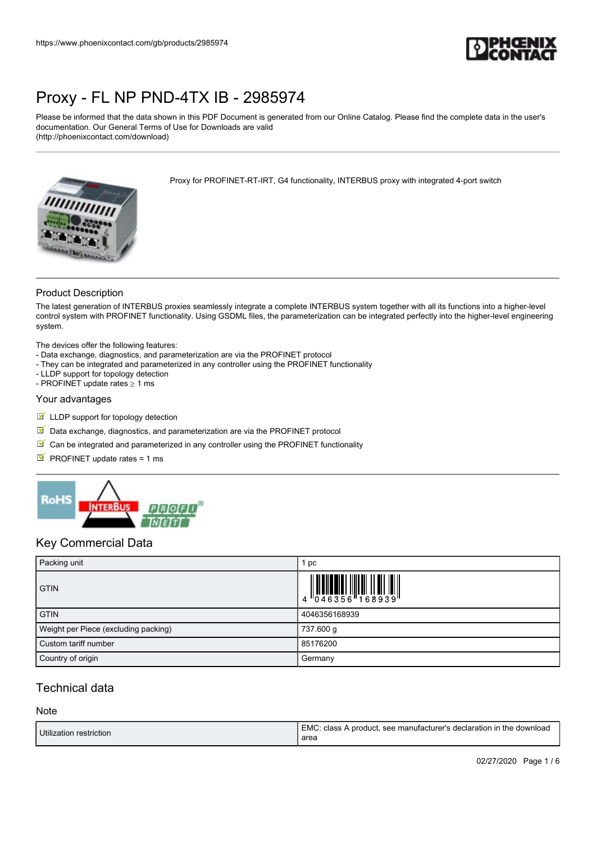

Please be informed that the data shown in this PDF Document is generated from our Online Catalog. Please find the complete data in the user's documentation. Our General Terms of Use for Downloads are valid (http://phoenixcontact.com/download)

Proxy for PROFINET-RT-IRT, G4 functionality, INTERBUS proxy with integrated 4-port switch



### Product Description

The latest generation of INTERBUS proxies seamlessly integrate a complete INTERBUS system together with all its functions into a higher-level control system with PROFINET functionality. Using GSDML files, the parameterization can be integrated perfectly into the higher-level engineering system.

The devices offer the following features:

- Data exchange, diagnostics, and parameterization are via the PROFINET protocol
- They can be integrated and parameterized in any controller using the PROFINET functionality
- LLDP support for topology detection
- PROFINET update rates  $\geq 1$  ms

#### Your advantages

- **LLDP** support for topology detection
- $\boxed{\mathbb{M}}$  Data exchange, diagnostics, and parameterization are via the PROFINET protocol
- $\blacksquare$  Can be integrated and parameterized in any controller using the PROFINET functionality
- $\blacksquare$  PROFINET update rates = 1 ms



## Key Commercial Data

| Packing unit                         | pc                                                                                   |
|--------------------------------------|--------------------------------------------------------------------------------------|
| <b>GTIN</b>                          | $\begin{array}{c} 4 \ 0 \ 4 \ 0 \ 4 \ 6 \ 3 \ 5 \ 6 \ 1 \ 6 \ 9 \ 3 \ 9 \end{array}$ |
| <b>GTIN</b>                          | 4046356168939                                                                        |
| Weight per Piece (excluding packing) | 737.600 g                                                                            |
| Custom tariff number                 | 85176200                                                                             |
| Country of origin                    | Germany                                                                              |

## Technical data

#### **Note**

| Utilization restriction | EMC: class A product, see manufacturer's declaration in the download<br>area |
|-------------------------|------------------------------------------------------------------------------|
|                         |                                                                              |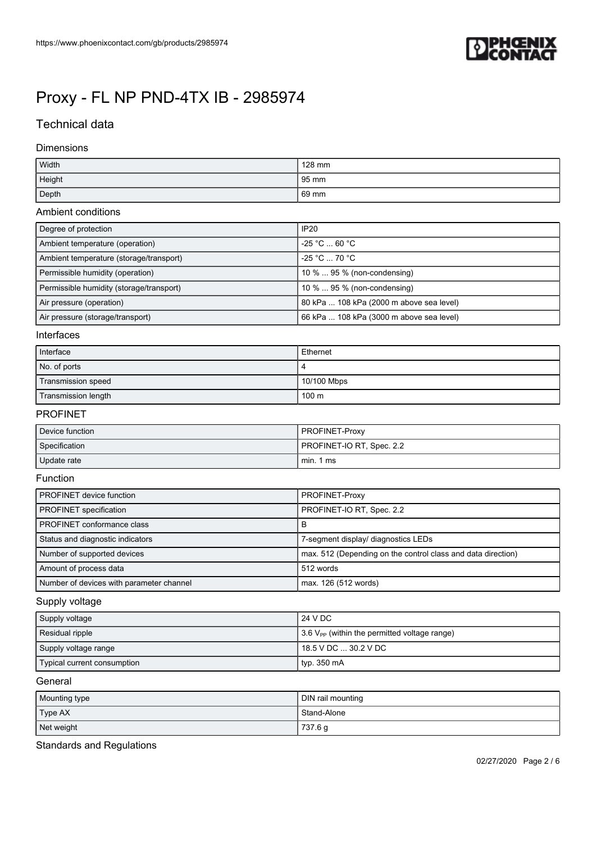

## Technical data

#### Dimensions

| Width  | 128 mm          |
|--------|-----------------|
| Height | 95 mm           |
| Depth  | $69 \text{ mm}$ |

### Ambient conditions

| Degree of protection                     | <b>IP20</b>                              |
|------------------------------------------|------------------------------------------|
| Ambient temperature (operation)          | $-25$ °C $\ldots$ 60 °C $\,$             |
| Ambient temperature (storage/transport)  | $-25 °C \dots 70 °C$                     |
| Permissible humidity (operation)         | 10 %  95 % (non-condensing)              |
| Permissible humidity (storage/transport) | 10 %  95 % (non-condensing)              |
| Air pressure (operation)                 | 80 kPa  108 kPa (2000 m above sea level) |
| Air pressure (storage/transport)         | 66 kPa  108 kPa (3000 m above sea level) |

### Interfaces

| Interface           | Ethernet    |
|---------------------|-------------|
| No. of ports        |             |
| Transmission speed  | 10/100 Mbps |
| Transmission length | 100 m       |

#### PROFINET

| Device function | <b>PROFINET-Proxy</b>     |
|-----------------|---------------------------|
| Specification   | PROFINET-IO RT, Spec. 2.2 |
| Update rate     | min. 1 ms                 |

#### Function

| <b>PROFINET</b> device function          | PROFINET-Proxy                                               |
|------------------------------------------|--------------------------------------------------------------|
| <b>PROFINET</b> specification            | PROFINET-IO RT, Spec. 2.2                                    |
| PROFINET conformance class               | В                                                            |
| Status and diagnostic indicators         | 7-segment display/ diagnostics LEDs                          |
| Number of supported devices              | max. 512 (Depending on the control class and data direction) |
| Amount of process data                   | 512 words                                                    |
| Number of devices with parameter channel | max. 126 (512 words)                                         |

### Supply voltage

| Supply voltage              | 24 V DC                                                         |
|-----------------------------|-----------------------------------------------------------------|
| Residual ripple             | $\frac{1}{2}$ 3.6 $V_{PP}$ (within the permitted voltage range) |
| Supply voltage range        | 18.5 V DC  30.2 V DC                                            |
| Typical current consumption | typ. $350 \text{ mA}$                                           |

#### General

| Mounting type | DIN rail mounting |
|---------------|-------------------|
| Type AX       | Stand-Alone       |
| Net weight    | 737.6 g           |

Standards and Regulations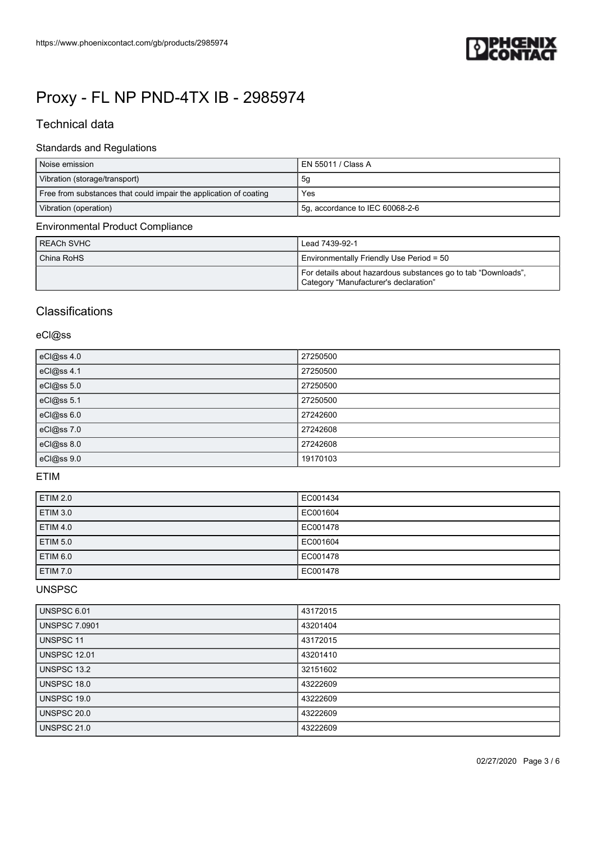

## Technical data

## Standards and Regulations

| Noise emission                                                    | EN 55011 / Class A              |
|-------------------------------------------------------------------|---------------------------------|
| Vibration (storage/transport)                                     | 5g                              |
| Free from substances that could impair the application of coating | Yes                             |
| Vibration (operation)                                             | 5g, accordance to IEC 60068-2-6 |
| Environmental Product Compliance                                  |                                 |

#### Environmental Product Compliance

| REACh SVHC | Lead 7439-92-1                                                                                         |
|------------|--------------------------------------------------------------------------------------------------------|
| China RoHS | Environmentally Friendly Use Period = 50                                                               |
|            | For details about hazardous substances go to tab "Downloads",<br>Category "Manufacturer's declaration" |

## **Classifications**

## eCl@ss

| eCl@ss 4.0 | 27250500 |
|------------|----------|
| eCl@ss 4.1 | 27250500 |
| eCl@ss 5.0 | 27250500 |
| eCl@ss 5.1 | 27250500 |
| eCl@ss 6.0 | 27242600 |
| eCl@ss 7.0 | 27242608 |
| eCl@ss 8.0 | 27242608 |
| eCl@ss 9.0 | 19170103 |

## ETIM

| <b>ETIM 2.0</b> | EC001434 |
|-----------------|----------|
| <b>ETIM 3.0</b> | EC001604 |
| <b>ETIM 4.0</b> | EC001478 |
| <b>ETIM 5.0</b> | EC001604 |
| <b>ETIM 6.0</b> | EC001478 |
| <b>ETIM 7.0</b> | EC001478 |

## UNSPSC

| UNSPSC 6.01          | 43172015 |
|----------------------|----------|
| <b>UNSPSC 7.0901</b> | 43201404 |
| UNSPSC 11            | 43172015 |
| <b>UNSPSC 12.01</b>  | 43201410 |
| UNSPSC 13.2          | 32151602 |
| UNSPSC 18.0          | 43222609 |
| UNSPSC 19.0          | 43222609 |
| <b>UNSPSC 20.0</b>   | 43222609 |
| <b>UNSPSC 21.0</b>   | 43222609 |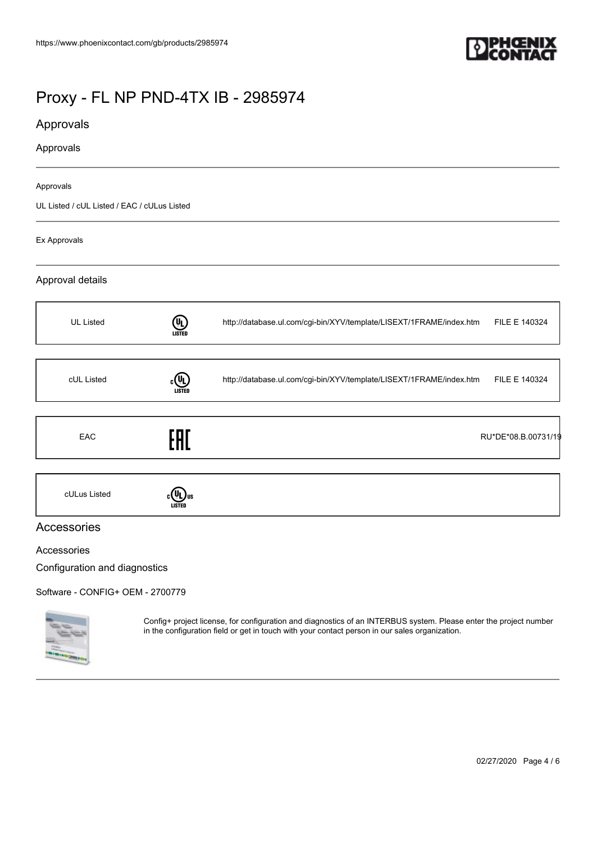

## Approvals

### Approvals

#### Approvals

UL Listed / cUL Listed / EAC / cULus Listed

#### Ex Approvals

### Approval details



## Accessories

#### Accessories

Configuration and diagnostics

[Software - CONFIG+ OEM - 2700779](https://www.phoenixcontact.com/gb/products/2700779)



Config+ project license, for configuration and diagnostics of an INTERBUS system. Please enter the project number in the configuration field or get in touch with your contact person in our sales organization.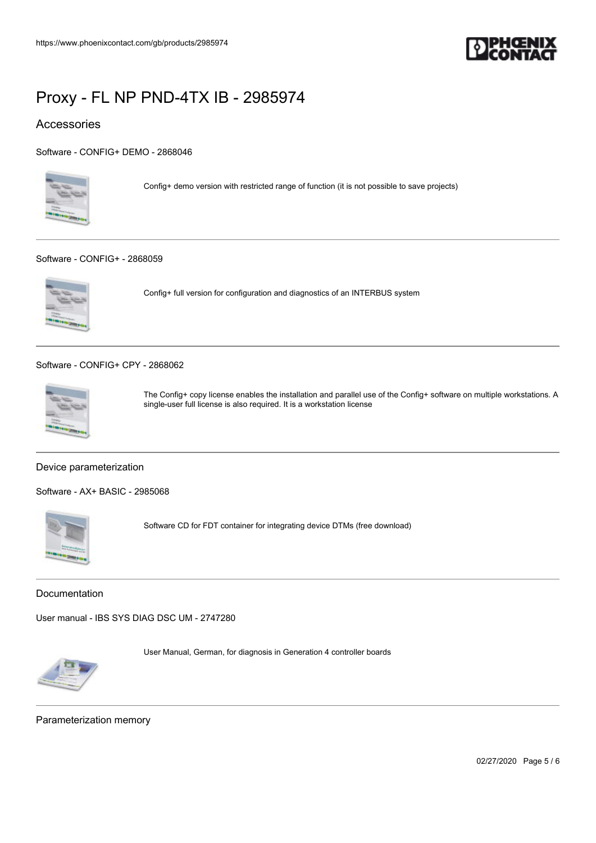

## Accessories

[Software - CONFIG+ DEMO - 2868046](https://www.phoenixcontact.com/gb/products/2868046)



Config+ demo version with restricted range of function (it is not possible to save projects)

#### [Software - CONFIG+ - 2868059](https://www.phoenixcontact.com/gb/products/2868059)



Config+ full version for configuration and diagnostics of an INTERBUS system

[Software - CONFIG+ CPY - 2868062](https://www.phoenixcontact.com/gb/products/2868062)



The Config+ copy license enables the installation and parallel use of the Config+ software on multiple workstations. A single-user full license is also required. It is a workstation license

#### Device parameterization

[Software - AX+ BASIC - 2985068](https://www.phoenixcontact.com/gb/products/2985068)



Software CD for FDT container for integrating device DTMs (free download)

Documentation

[User manual - IBS SYS DIAG DSC UM - 2747280](https://www.phoenixcontact.com/gb/products/2747280)



User Manual, German, for diagnosis in Generation 4 controller boards

Parameterization memory